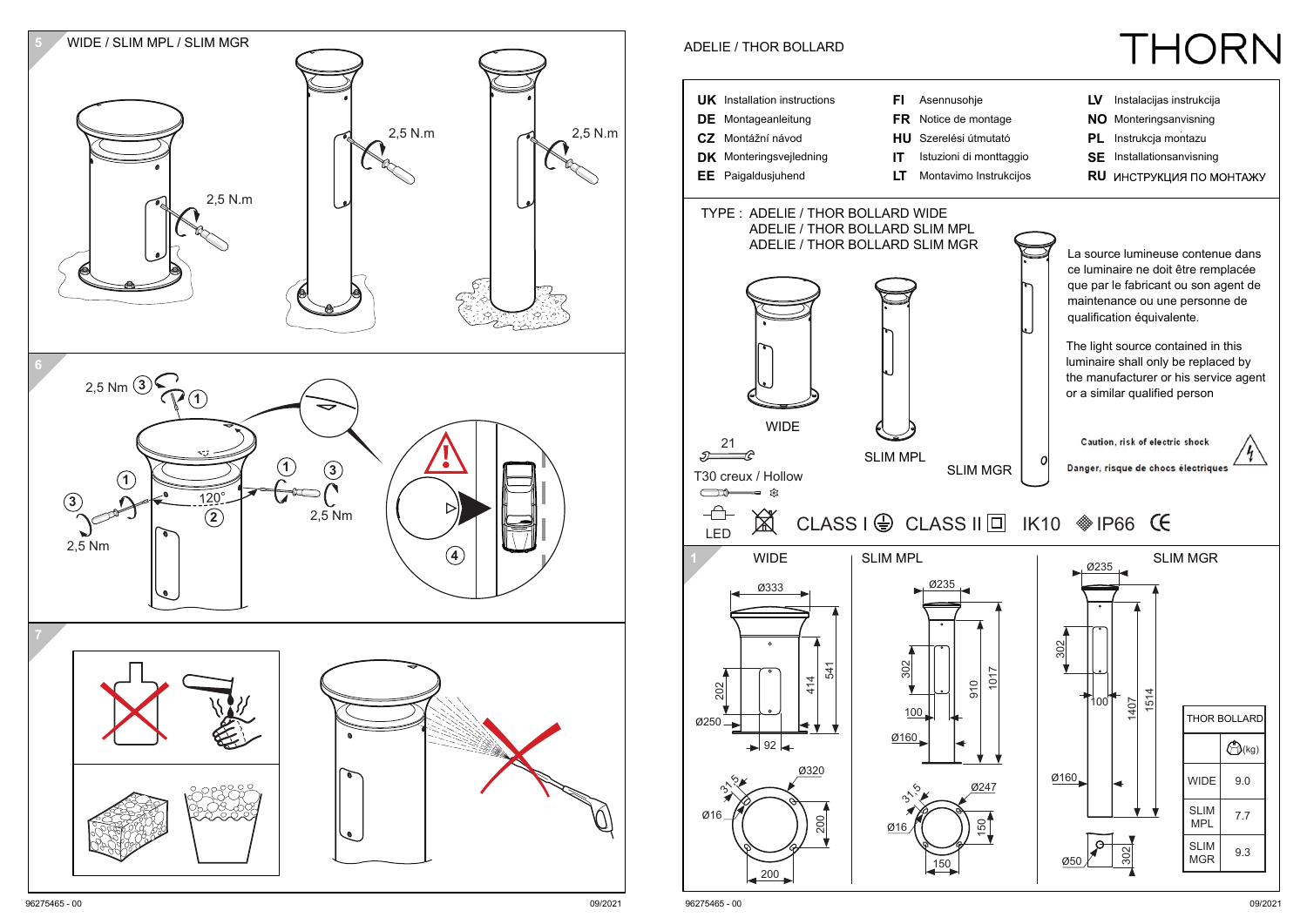

96275465 - 00